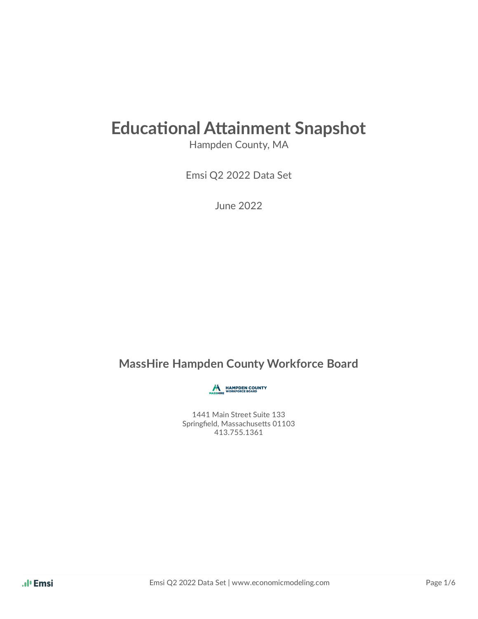# **Educational Attainment Snapshot**

Hampden County, MA

Emsi Q2 2022 Data Set

June 2022

#### **MassHire Hampden County Workforce Board**

**AN HAMPDEN COUNTY** 

1441 Main Street Suite 133 Springfield, Massachusetts 01103 413.755.1361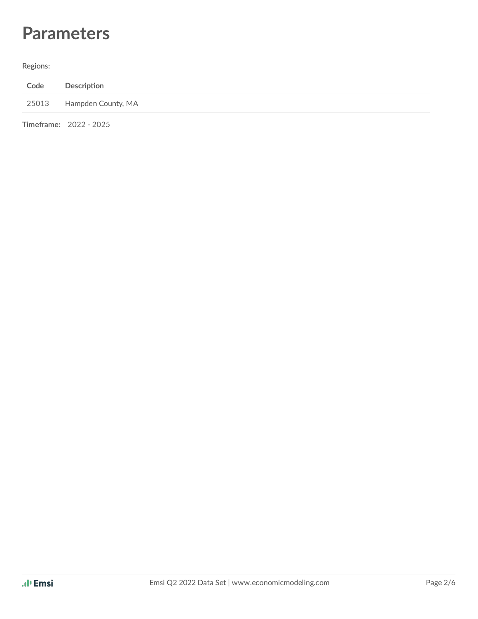## **Parameters**

#### **Regions:**

| Code | Description              |
|------|--------------------------|
|      | 25013 Hampden County, MA |
|      | Timeframe: 2022 - 2025   |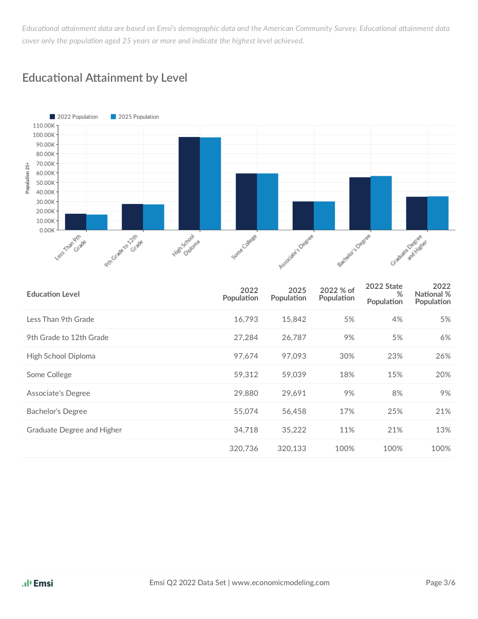Educational attainment data are based on Emsi's demographic data and the American Community Survey. Educational attainment data *cover* only the population aged 25 years or more and indicate the highest level achieved.



#### **Educational Attainment by Level**

| <b>Education Level</b>     | 2022<br>Population | 2025<br>Population | 2022 % of<br>Population | 2022 State<br>%<br>Population | 2022<br>National %<br>Population |
|----------------------------|--------------------|--------------------|-------------------------|-------------------------------|----------------------------------|
| Less Than 9th Grade        | 16,793             | 15,842             | 5%                      | 4%                            | 5%                               |
| 9th Grade to 12th Grade    | 27,284             | 26,787             | 9%                      | 5%                            | 6%                               |
| High School Diploma        | 97,674             | 97,093             | 30%                     | 23%                           | 26%                              |
| Some College               | 59,312             | 59,039             | 18%                     | 15%                           | 20%                              |
| Associate's Degree         | 29,880             | 29,691             | 9%                      | 8%                            | 9%                               |
| Bachelor's Degree          | 55,074             | 56,458             | 17%                     | 25%                           | 21%                              |
| Graduate Degree and Higher | 34,718             | 35,222             | 11%                     | 21%                           | 13%                              |
|                            | 320,736            | 320,133            | 100%                    | 100%                          | 100%                             |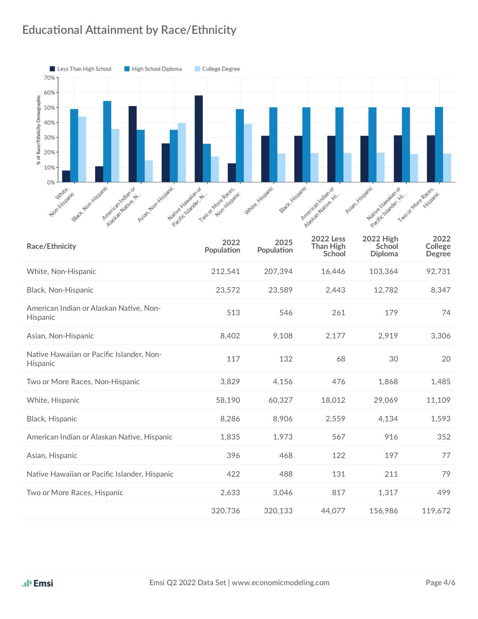#### **Educational Attainment by Race/Ethnicity**



| Race/Ethnicity                                        | 2022<br>Population | 2025<br>Population | <b>2022 Less</b><br><b>Than High</b><br>School | <b>2022 High</b><br>School<br><b>Diploma</b> | 2022<br>College<br><b>Degree</b> |
|-------------------------------------------------------|--------------------|--------------------|------------------------------------------------|----------------------------------------------|----------------------------------|
| White, Non-Hispanic                                   | 212,541            | 207,394            | 16,446                                         | 103,364                                      | 92,731                           |
| Black, Non-Hispanic                                   | 23,572             | 23,589             | 2,443                                          | 12,782                                       | 8,347                            |
| American Indian or Alaskan Native, Non-<br>Hispanic   | 513                | 546                | 261                                            | 179                                          | 74                               |
| Asian, Non-Hispanic                                   | 8,402              | 9,108              | 2,177                                          | 2,919                                        | 3,306                            |
| Native Hawaiian or Pacific Islander, Non-<br>Hispanic | 117                | 132                | 68                                             | 30                                           | 20                               |
| Two or More Races, Non-Hispanic                       | 3,829              | 4,156              | 476                                            | 1,868                                        | 1,485                            |
| White, Hispanic                                       | 58,190             | 60,327             | 18,012                                         | 29,069                                       | 11,109                           |
| Black, Hispanic                                       | 8,286              | 8,906              | 2,559                                          | 4,134                                        | 1,593                            |
| American Indian or Alaskan Native, Hispanic           | 1,835              | 1,973              | 567                                            | 916                                          | 352                              |
| Asian, Hispanic                                       | 396                | 468                | 122                                            | 197                                          | 77                               |
| Native Hawaiian or Pacific Islander, Hispanic         | 422                | 488                | 131                                            | 211                                          | 79                               |
| Two or More Races, Hispanic                           | 2,633              | 3,046              | 817                                            | 1,317                                        | 499                              |
|                                                       | 320,736            | 320,133            | 44,077                                         | 156,986                                      | 119,672                          |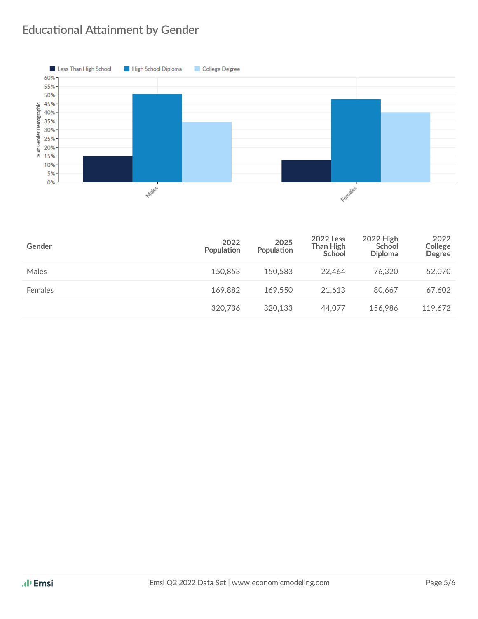### **Educational Attainment by Gender**



| Gender  | 2022<br>Population | 2025<br>Population | <b>2022 Less</b><br>Than High<br>School | 2022 High<br>School<br><b>Diploma</b> | 2022<br>College<br><b>Degree</b> |
|---------|--------------------|--------------------|-----------------------------------------|---------------------------------------|----------------------------------|
| Males   | 150.853            | 150.583            | 22.464                                  | 76.320                                | 52,070                           |
| Females | 169.882            | 169.550            | 21.613                                  | 80.667                                | 67,602                           |
|         | 320.736            | 320,133            | 44.077                                  | 156.986                               | 119,672                          |